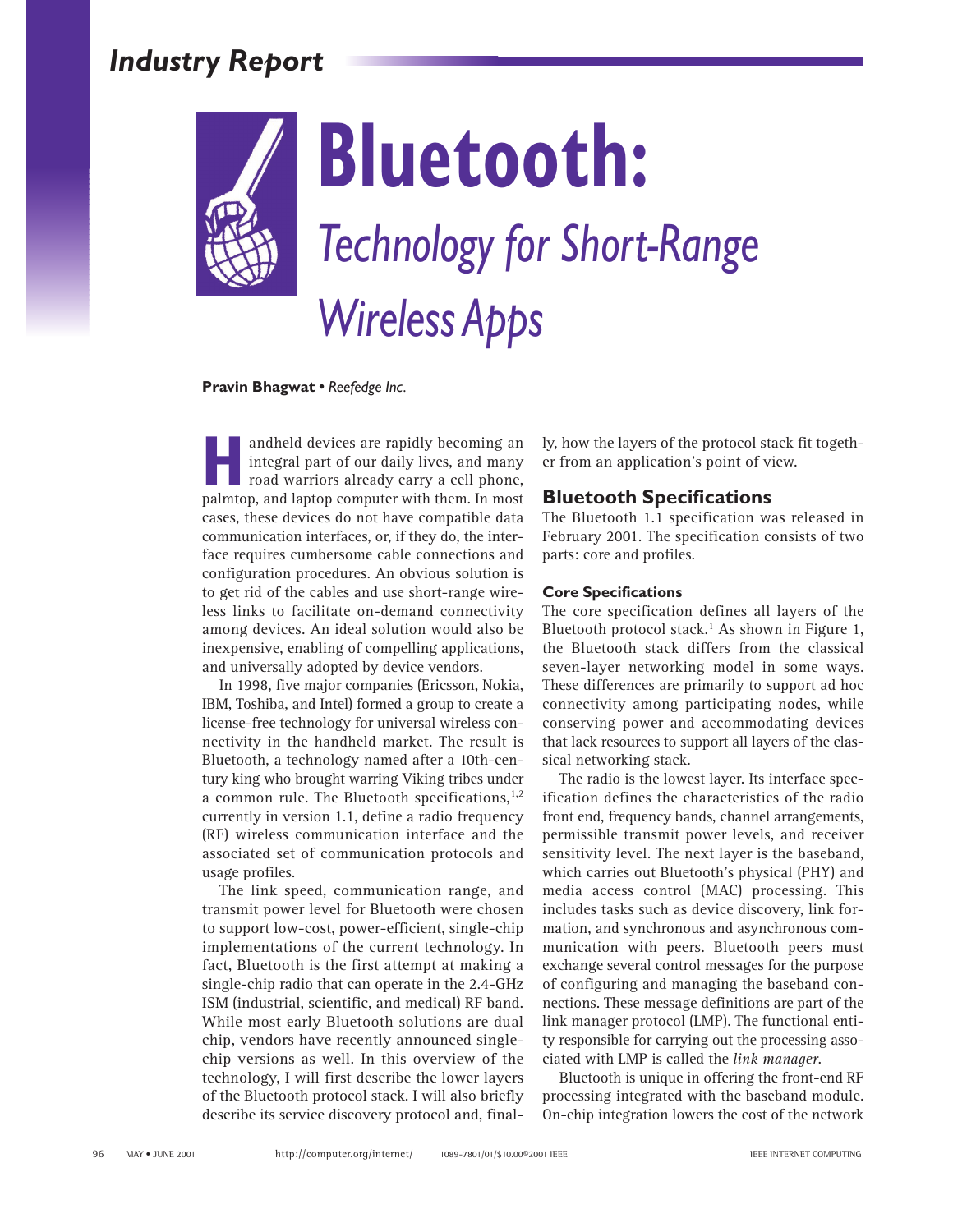# *Industry Report*



**Bluetooth:** *Technology for Short-Range Wireless Apps*

**Pravin Bhagwat •** *Reefedge Inc.*

**Handheld devices are rapidly becoming an integral part of our daily lives, and many road warriors already carry a cell phone, nalmton and lanton computer with them. In most** integral part of our daily lives, and many road warriors already carry a cell phone, palmtop, and laptop computer with them. In most cases, these devices do not have compatible data communication interfaces, or, if they do, the interface requires cumbersome cable connections and configuration procedures. An obvious solution is to get rid of the cables and use short-range wireless links to facilitate on-demand connectivity among devices. An ideal solution would also be inexpensive, enabling of compelling applications, and universally adopted by device vendors.

In 1998, five major companies (Ericsson, Nokia, IBM, Toshiba, and Intel) formed a group to create a license-free technology for universal wireless connectivity in the handheld market. The result is Bluetooth, a technology named after a 10th-century king who brought warring Viking tribes under a common rule. The Bluetooth specifications,  $1,2$ currently in version 1.1, define a radio frequency (RF) wireless communication interface and the associated set of communication protocols and usage profiles.

The link speed, communication range, and transmit power level for Bluetooth were chosen to support low-cost, power-efficient, single-chip implementations of the current technology. In fact, Bluetooth is the first attempt at making a single-chip radio that can operate in the 2.4-GHz ISM (industrial, scientific, and medical) RF band. While most early Bluetooth solutions are dual chip, vendors have recently announced singlechip versions as well. In this overview of the technology, I will first describe the lower layers of the Bluetooth protocol stack. I will also briefly describe its service discovery protocol and, finally, how the layers of the protocol stack fit together from an application's point of view.

## **Bluetooth Specifications**

The Bluetooth 1.1 specification was released in February 2001. The specification consists of two parts: core and profiles.

## **Core Specifications**

The core specification defines all layers of the Bluetooth protocol stack.<sup>1</sup> As shown in Figure 1, the Bluetooth stack differs from the classical seven-layer networking model in some ways. These differences are primarily to support ad hoc connectivity among participating nodes, while conserving power and accommodating devices that lack resources to support all layers of the classical networking stack.

The radio is the lowest layer. Its interface specification defines the characteristics of the radio front end, frequency bands, channel arrangements, permissible transmit power levels, and receiver sensitivity level. The next layer is the baseband, which carries out Bluetooth's physical (PHY) and media access control (MAC) processing. This includes tasks such as device discovery, link formation, and synchronous and asynchronous communication with peers. Bluetooth peers must exchange several control messages for the purpose of configuring and managing the baseband connections. These message definitions are part of the link manager protocol (LMP). The functional entity responsible for carrying out the processing associated with LMP is called the *link manager*.

Bluetooth is unique in offering the front-end RF processing integrated with the baseband module. On-chip integration lowers the cost of the network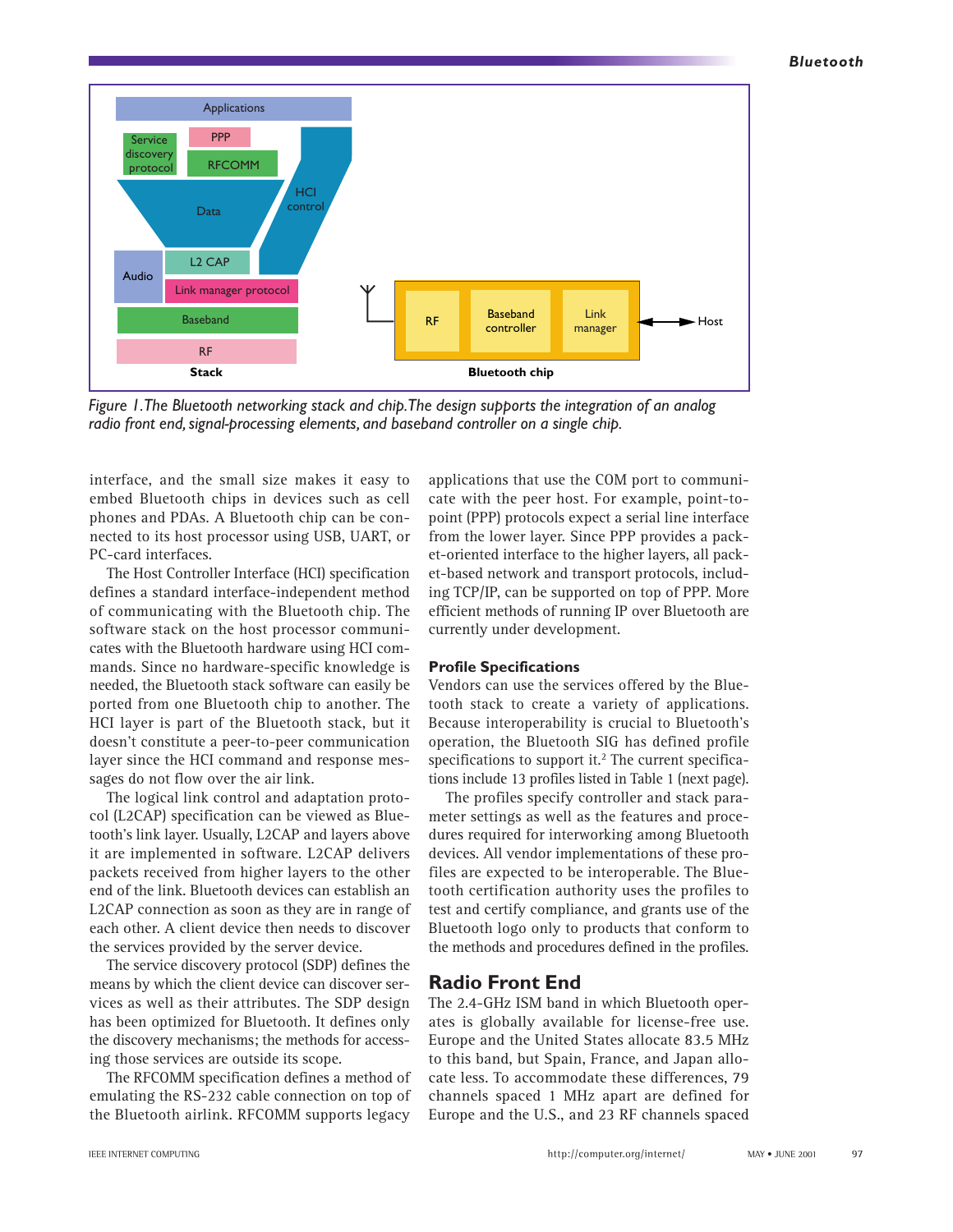

*Figure 1.The Bluetooth networking stack and chip.The design supports the integration of an analog radio front end, signal-processing elements, and baseband controller on a single chip.*

interface, and the small size makes it easy to embed Bluetooth chips in devices such as cell phones and PDAs. A Bluetooth chip can be connected to its host processor using USB, UART, or PC-card interfaces.

The Host Controller Interface (HCI) specification defines a standard interface-independent method of communicating with the Bluetooth chip. The software stack on the host processor communicates with the Bluetooth hardware using HCI commands. Since no hardware-specific knowledge is needed, the Bluetooth stack software can easily be ported from one Bluetooth chip to another. The HCI layer is part of the Bluetooth stack, but it doesn't constitute a peer-to-peer communication layer since the HCI command and response messages do not flow over the air link.

The logical link control and adaptation protocol (L2CAP) specification can be viewed as Bluetooth's link layer. Usually, L2CAP and layers above it are implemented in software. L2CAP delivers packets received from higher layers to the other end of the link. Bluetooth devices can establish an L2CAP connection as soon as they are in range of each other. A client device then needs to discover the services provided by the server device.

The service discovery protocol (SDP) defines the means by which the client device can discover services as well as their attributes. The SDP design has been optimized for Bluetooth. It defines only the discovery mechanisms; the methods for accessing those services are outside its scope.

The RFCOMM specification defines a method of emulating the RS-232 cable connection on top of the Bluetooth airlink. RFCOMM supports legacy

applications that use the COM port to communicate with the peer host. For example, point-topoint (PPP) protocols expect a serial line interface from the lower layer. Since PPP provides a packet-oriented interface to the higher layers, all packet-based network and transport protocols, including TCP/IP, can be supported on top of PPP. More efficient methods of running IP over Bluetooth are currently under development.

## **Profile Specifications**

Vendors can use the services offered by the Bluetooth stack to create a variety of applications. Because interoperability is crucial to Bluetooth's operation, the Bluetooth SIG has defined profile specifications to support it.<sup>2</sup> The current specifications include 13 profiles listed in Table 1 (next page).

The profiles specify controller and stack parameter settings as well as the features and procedures required for interworking among Bluetooth devices. All vendor implementations of these profiles are expected to be interoperable. The Bluetooth certification authority uses the profiles to test and certify compliance, and grants use of the Bluetooth logo only to products that conform to the methods and procedures defined in the profiles.

# **Radio Front End**

The 2.4-GHz ISM band in which Bluetooth operates is globally available for license-free use. Europe and the United States allocate 83.5 MHz to this band, but Spain, France, and Japan allocate less. To accommodate these differences, 79 channels spaced 1 MHz apart are defined for Europe and the U.S., and 23 RF channels spaced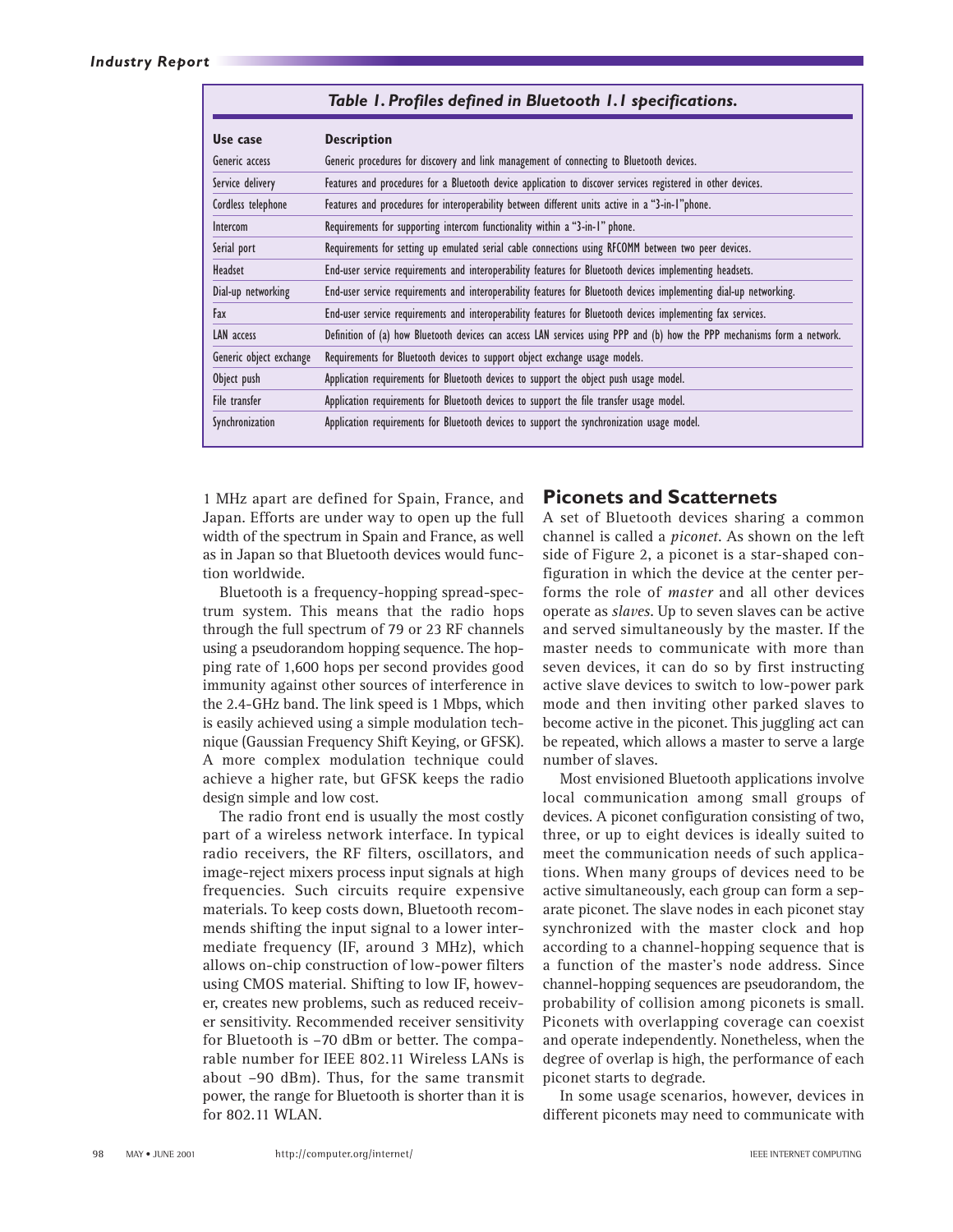| Table 1. Profiles defined in Bluetooth 1.1 specifications. |                                                                                                                          |  |  |  |  |  |
|------------------------------------------------------------|--------------------------------------------------------------------------------------------------------------------------|--|--|--|--|--|
| Use case                                                   | <b>Description</b>                                                                                                       |  |  |  |  |  |
| Generic access                                             | Generic procedures for discovery and link management of connecting to Bluetooth devices.                                 |  |  |  |  |  |
| Service delivery                                           | Features and procedures for a Bluetooth device application to discover services registered in other devices.             |  |  |  |  |  |
| Cordless telephone                                         | Features and procedures for interoperability between different units active in a "3-in-1"phone.                          |  |  |  |  |  |
| Intercom                                                   | Requirements for supporting intercom functionality within a "3-in-1" phone.                                              |  |  |  |  |  |
| Serial port                                                | Requirements for setting up emulated serial cable connections using RFCOMM between two peer devices.                     |  |  |  |  |  |
| Headset                                                    | End-user service requirements and interoperability features for Bluetooth devices implementing headsets.                 |  |  |  |  |  |
| Dial-up networking                                         | End-user service requirements and interoperability features for Bluetooth devices implementing dial-up networking.       |  |  |  |  |  |
| Fax                                                        | End-user service requirements and interoperability features for Bluetooth devices implementing fax services.             |  |  |  |  |  |
| LAN access                                                 | Definition of (a) how Bluetooth devices can access LAN services using PPP and (b) how the PPP mechanisms form a network. |  |  |  |  |  |
| Generic object exchange                                    | Requirements for Bluetooth devices to support object exchange usage models.                                              |  |  |  |  |  |
| Object push                                                | Application requirements for Bluetooth devices to support the object push usage model.                                   |  |  |  |  |  |
| File transfer                                              | Application requirements for Bluetooth devices to support the file transfer usage model.                                 |  |  |  |  |  |
| Synchronization                                            | Application requirements for Bluetooth devices to support the synchronization usage model.                               |  |  |  |  |  |

1 MHz apart are defined for Spain, France, and Japan. Efforts are under way to open up the full width of the spectrum in Spain and France, as well as in Japan so that Bluetooth devices would function worldwide.

Bluetooth is a frequency-hopping spread-spectrum system. This means that the radio hops through the full spectrum of 79 or 23 RF channels using a pseudorandom hopping sequence. The hopping rate of 1,600 hops per second provides good immunity against other sources of interference in the 2.4-GHz band. The link speed is 1 Mbps, which is easily achieved using a simple modulation technique (Gaussian Frequency Shift Keying, or GFSK). A more complex modulation technique could achieve a higher rate, but GFSK keeps the radio design simple and low cost.

The radio front end is usually the most costly part of a wireless network interface. In typical radio receivers, the RF filters, oscillators, and image-reject mixers process input signals at high frequencies. Such circuits require expensive materials. To keep costs down, Bluetooth recommends shifting the input signal to a lower intermediate frequency (IF, around 3 MHz), which allows on-chip construction of low-power filters using CMOS material. Shifting to low IF, however, creates new problems, such as reduced receiver sensitivity. Recommended receiver sensitivity for Bluetooth is –70 dBm or better. The comparable number for IEEE 802.11 Wireless LANs is about –90 dBm). Thus, for the same transmit power, the range for Bluetooth is shorter than it is for 802.11 WLAN.

## **Piconets and Scatternets**

A set of Bluetooth devices sharing a common channel is called a *piconet*. As shown on the left side of Figure 2, a piconet is a star-shaped configuration in which the device at the center performs the role of *master* and all other devices operate as *slaves*. Up to seven slaves can be active and served simultaneously by the master. If the master needs to communicate with more than seven devices, it can do so by first instructing active slave devices to switch to low-power park mode and then inviting other parked slaves to become active in the piconet. This juggling act can be repeated, which allows a master to serve a large number of slaves.

Most envisioned Bluetooth applications involve local communication among small groups of devices. A piconet configuration consisting of two, three, or up to eight devices is ideally suited to meet the communication needs of such applications. When many groups of devices need to be active simultaneously, each group can form a separate piconet. The slave nodes in each piconet stay synchronized with the master clock and hop according to a channel-hopping sequence that is a function of the master's node address. Since channel-hopping sequences are pseudorandom, the probability of collision among piconets is small. Piconets with overlapping coverage can coexist and operate independently. Nonetheless, when the degree of overlap is high, the performance of each piconet starts to degrade.

In some usage scenarios, however, devices in different piconets may need to communicate with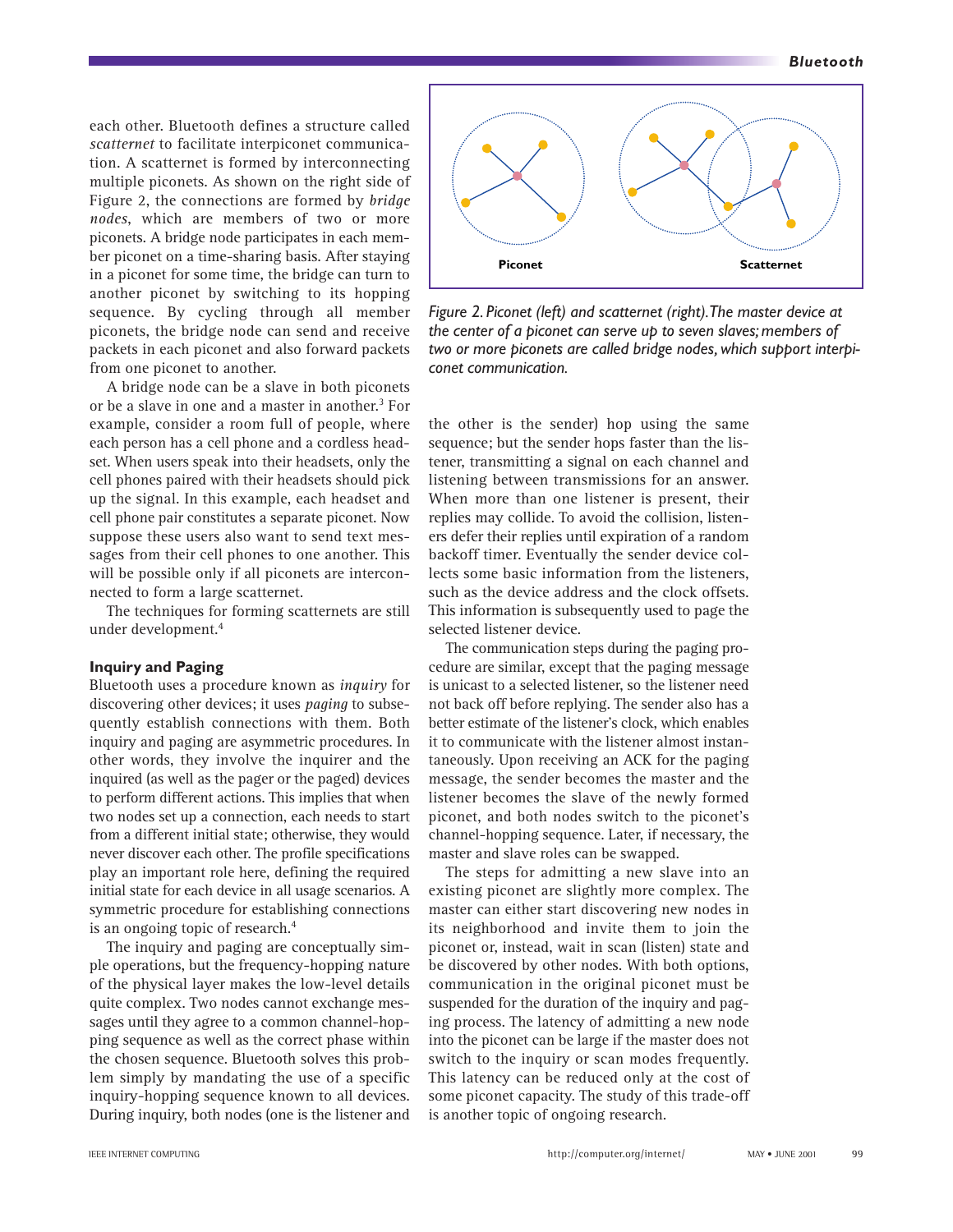each other. Bluetooth defines a structure called *scatternet* to facilitate interpiconet communication. A scatternet is formed by interconnecting multiple piconets. As shown on the right side of Figure 2, the connections are formed by *bridge nodes*, which are members of two or more piconets. A bridge node participates in each member piconet on a time-sharing basis. After staying in a piconet for some time, the bridge can turn to another piconet by switching to its hopping sequence. By cycling through all member piconets, the bridge node can send and receive packets in each piconet and also forward packets from one piconet to another.

A bridge node can be a slave in both piconets or be a slave in one and a master in another.<sup>3</sup> For example, consider a room full of people, where each person has a cell phone and a cordless headset. When users speak into their headsets, only the cell phones paired with their headsets should pick up the signal. In this example, each headset and cell phone pair constitutes a separate piconet. Now suppose these users also want to send text messages from their cell phones to one another. This will be possible only if all piconets are interconnected to form a large scatternet.

The techniques for forming scatternets are still under development.4

## **Inquiry and Paging**

Bluetooth uses a procedure known as *inquiry* for discovering other devices; it uses *paging* to subsequently establish connections with them. Both inquiry and paging are asymmetric procedures. In other words, they involve the inquirer and the inquired (as well as the pager or the paged) devices to perform different actions. This implies that when two nodes set up a connection, each needs to start from a different initial state; otherwise, they would never discover each other. The profile specifications play an important role here, defining the required initial state for each device in all usage scenarios. A symmetric procedure for establishing connections is an ongoing topic of research.<sup>4</sup>

The inquiry and paging are conceptually simple operations, but the frequency-hopping nature of the physical layer makes the low-level details quite complex. Two nodes cannot exchange messages until they agree to a common channel-hopping sequence as well as the correct phase within the chosen sequence. Bluetooth solves this problem simply by mandating the use of a specific inquiry-hopping sequence known to all devices. During inquiry, both nodes (one is the listener and



*Figure 2. Piconet (left) and scatternet (right).The master device at the center of a piconet can serve up to seven slaves; members of two or more piconets are called bridge nodes, which support interpiconet communication.*

the other is the sender) hop using the same sequence; but the sender hops faster than the listener, transmitting a signal on each channel and listening between transmissions for an answer. When more than one listener is present, their replies may collide. To avoid the collision, listeners defer their replies until expiration of a random backoff timer. Eventually the sender device collects some basic information from the listeners, such as the device address and the clock offsets. This information is subsequently used to page the selected listener device.

The communication steps during the paging procedure are similar, except that the paging message is unicast to a selected listener, so the listener need not back off before replying. The sender also has a better estimate of the listener's clock, which enables it to communicate with the listener almost instantaneously. Upon receiving an ACK for the paging message, the sender becomes the master and the listener becomes the slave of the newly formed piconet, and both nodes switch to the piconet's channel-hopping sequence. Later, if necessary, the master and slave roles can be swapped.

The steps for admitting a new slave into an existing piconet are slightly more complex. The master can either start discovering new nodes in its neighborhood and invite them to join the piconet or, instead, wait in scan (listen) state and be discovered by other nodes. With both options, communication in the original piconet must be suspended for the duration of the inquiry and paging process. The latency of admitting a new node into the piconet can be large if the master does not switch to the inquiry or scan modes frequently. This latency can be reduced only at the cost of some piconet capacity. The study of this trade-off is another topic of ongoing research.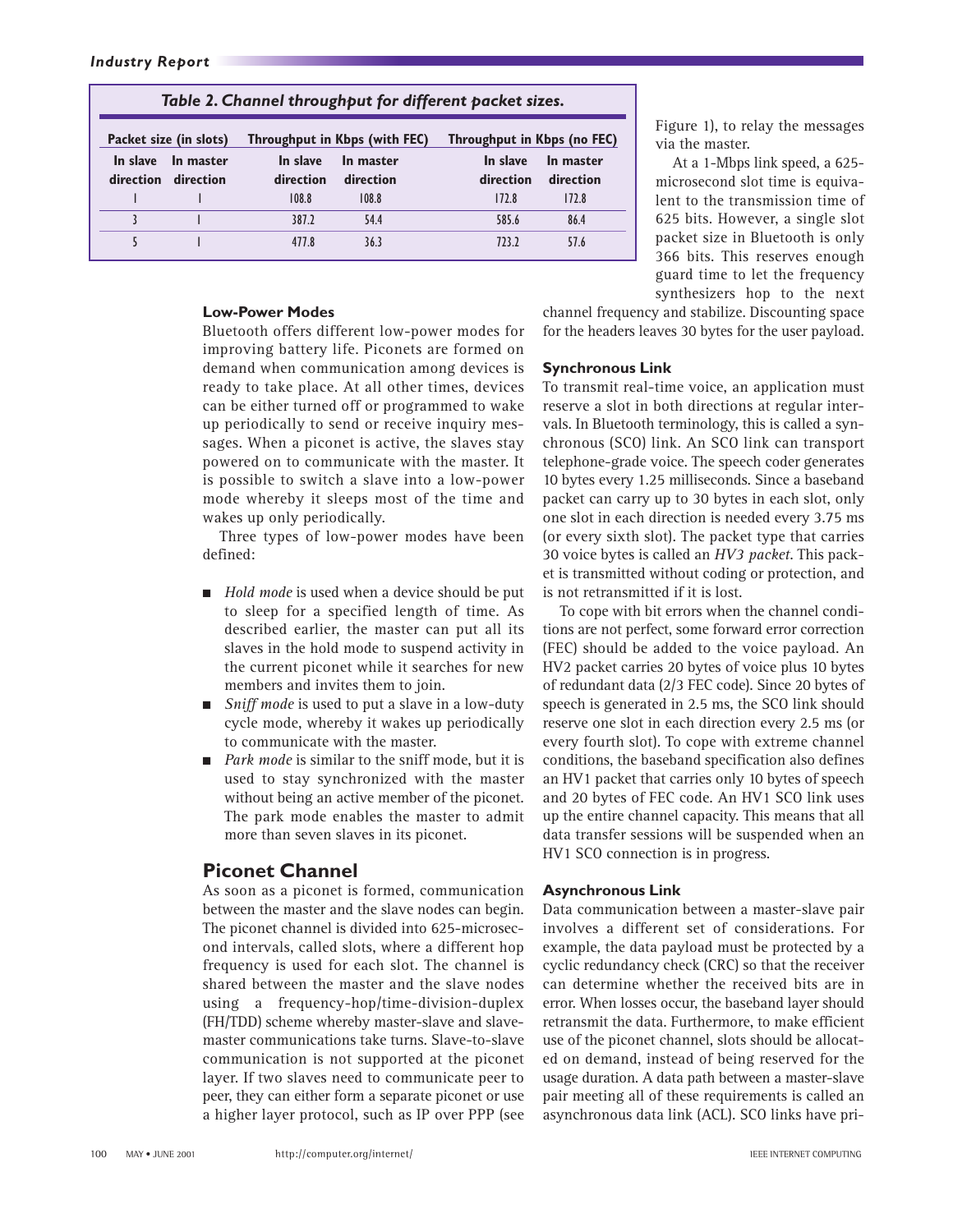| Table 2. Channel throughput for different packet sizes. |                       |                               |                       |                             |                       |                        |  |  |
|---------------------------------------------------------|-----------------------|-------------------------------|-----------------------|-----------------------------|-----------------------|------------------------|--|--|
| Packet size (in slots)                                  |                       | Throughput in Kbps (with FEC) |                       | Throughput in Kbps (no FEC) |                       |                        |  |  |
|                                                         | In slave<br>direction | In master<br>direction        | In slave<br>direction | In master<br>direction      | In slave<br>direction | In master<br>direction |  |  |
|                                                         |                       |                               | 108.8                 | 108.8                       | 172.8                 | 172.8                  |  |  |
|                                                         |                       |                               | 387.2                 | 54.4                        | 585.6                 | 86.4                   |  |  |
|                                                         |                       |                               | 477.8                 | 36.3                        | 773 J                 | 57.6                   |  |  |

## **Low-Power Modes**

Bluetooth offers different low-power modes for improving battery life. Piconets are formed on demand when communication among devices is ready to take place. At all other times, devices can be either turned off or programmed to wake up periodically to send or receive inquiry messages. When a piconet is active, the slaves stay powered on to communicate with the master. It is possible to switch a slave into a low-power mode whereby it sleeps most of the time and wakes up only periodically.

Three types of low-power modes have been defined:

- *Hold mode* is used when a device should be put to sleep for a specified length of time. As described earlier, the master can put all its slaves in the hold mode to suspend activity in the current piconet while it searches for new members and invites them to join.
- *Sniff mode* is used to put a slave in a low-duty cycle mode, whereby it wakes up periodically to communicate with the master.
- *Park mode* is similar to the sniff mode, but it is used to stay synchronized with the master without being an active member of the piconet. The park mode enables the master to admit more than seven slaves in its piconet.

# **Piconet Channel**

As soon as a piconet is formed, communication between the master and the slave nodes can begin. The piconet channel is divided into 625-microsecond intervals, called slots, where a different hop frequency is used for each slot. The channel is shared between the master and the slave nodes using a frequency-hop/time-division-duplex (FH/TDD) scheme whereby master-slave and slavemaster communications take turns. Slave-to-slave communication is not supported at the piconet layer. If two slaves need to communicate peer to peer, they can either form a separate piconet or use a higher layer protocol, such as IP over PPP (see

Figure 1), to relay the messages via the master.

At a 1-Mbps link speed, a 625 microsecond slot time is equivalent to the transmission time of 625 bits. However, a single slot packet size in Bluetooth is only 366 bits. This reserves enough guard time to let the frequency synthesizers hop to the next

channel frequency and stabilize. Discounting space for the headers leaves 30 bytes for the user payload.

## **Synchronous Link**

To transmit real-time voice, an application must reserve a slot in both directions at regular intervals. In Bluetooth terminology, this is called a synchronous (SCO) link. An SCO link can transport telephone-grade voice. The speech coder generates 10 bytes every 1.25 milliseconds. Since a baseband packet can carry up to 30 bytes in each slot, only one slot in each direction is needed every 3.75 ms (or every sixth slot). The packet type that carries 30 voice bytes is called an *HV3 packet*. This packet is transmitted without coding or protection, and is not retransmitted if it is lost.

To cope with bit errors when the channel conditions are not perfect, some forward error correction (FEC) should be added to the voice payload. An HV2 packet carries 20 bytes of voice plus 10 bytes of redundant data (2/3 FEC code). Since 20 bytes of speech is generated in 2.5 ms, the SCO link should reserve one slot in each direction every 2.5 ms (or every fourth slot). To cope with extreme channel conditions, the baseband specification also defines an HV1 packet that carries only 10 bytes of speech and 20 bytes of FEC code. An HV1 SCO link uses up the entire channel capacity. This means that all data transfer sessions will be suspended when an HV1 SCO connection is in progress.

#### **Asynchronous Link**

Data communication between a master-slave pair involves a different set of considerations. For example, the data payload must be protected by a cyclic redundancy check (CRC) so that the receiver can determine whether the received bits are in error. When losses occur, the baseband layer should retransmit the data. Furthermore, to make efficient use of the piconet channel, slots should be allocated on demand, instead of being reserved for the usage duration. A data path between a master-slave pair meeting all of these requirements is called an asynchronous data link (ACL). SCO links have pri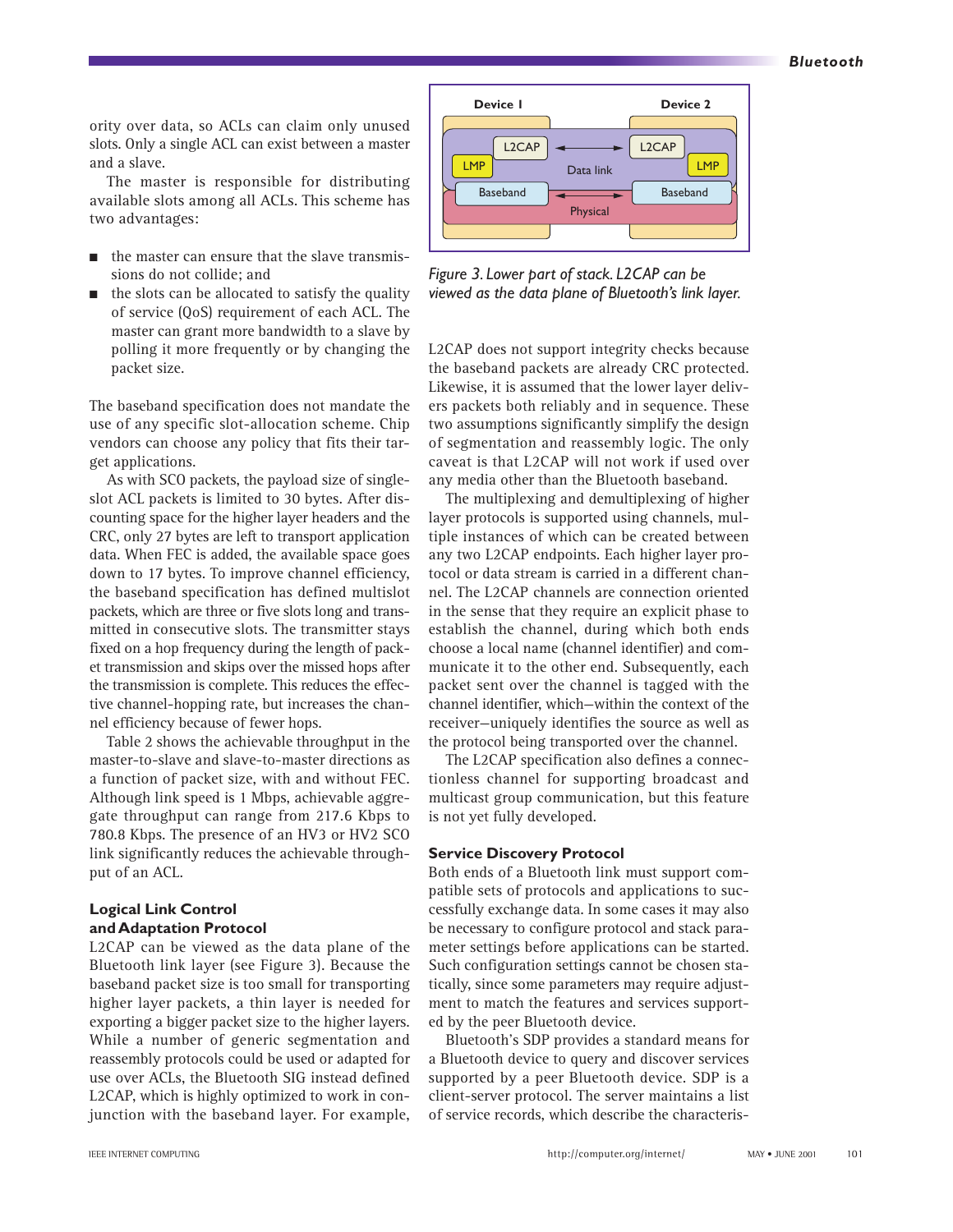ority over data, so ACLs can claim only unused slots. Only a single ACL can exist between a master and a slave.

The master is responsible for distributing available slots among all ACLs. This scheme has two advantages:

- the master can ensure that the slave transmissions do not collide; and
- the slots can be allocated to satisfy the quality of service (QoS) requirement of each ACL. The master can grant more bandwidth to a slave by polling it more frequently or by changing the packet size.

The baseband specification does not mandate the use of any specific slot-allocation scheme. Chip vendors can choose any policy that fits their target applications.

As with SCO packets, the payload size of singleslot ACL packets is limited to 30 bytes. After discounting space for the higher layer headers and the CRC, only 27 bytes are left to transport application data. When FEC is added, the available space goes down to 17 bytes. To improve channel efficiency, the baseband specification has defined multislot packets, which are three or five slots long and transmitted in consecutive slots. The transmitter stays fixed on a hop frequency during the length of packet transmission and skips over the missed hops after the transmission is complete. This reduces the effective channel-hopping rate, but increases the channel efficiency because of fewer hops.

Table 2 shows the achievable throughput in the master-to-slave and slave-to-master directions as a function of packet size, with and without FEC. Although link speed is 1 Mbps, achievable aggregate throughput can range from 217.6 Kbps to 780.8 Kbps. The presence of an HV3 or HV2 SCO link significantly reduces the achievable throughput of an ACL.

## **Logical Link Control and Adaptation Protocol**

L2CAP can be viewed as the data plane of the Bluetooth link layer (see Figure 3). Because the baseband packet size is too small for transporting higher layer packets, a thin layer is needed for exporting a bigger packet size to the higher layers. While a number of generic segmentation and reassembly protocols could be used or adapted for use over ACLs, the Bluetooth SIG instead defined L2CAP, which is highly optimized to work in conjunction with the baseband layer. For example,



*Figure 3. Lower part of stack. L2CAP can be viewed as the data plane of Bluetooth's link layer.*

L2CAP does not support integrity checks because the baseband packets are already CRC protected. Likewise, it is assumed that the lower layer delivers packets both reliably and in sequence. These two assumptions significantly simplify the design of segmentation and reassembly logic. The only caveat is that L2CAP will not work if used over any media other than the Bluetooth baseband.

The multiplexing and demultiplexing of higher layer protocols is supported using channels, multiple instances of which can be created between any two L2CAP endpoints. Each higher layer protocol or data stream is carried in a different channel. The L2CAP channels are connection oriented in the sense that they require an explicit phase to establish the channel, during which both ends choose a local name (channel identifier) and communicate it to the other end. Subsequently, each packet sent over the channel is tagged with the channel identifier, which—within the context of the receiver—uniquely identifies the source as well as the protocol being transported over the channel.

The L2CAP specification also defines a connectionless channel for supporting broadcast and multicast group communication, but this feature is not yet fully developed.

#### **Service Discovery Protocol**

Both ends of a Bluetooth link must support compatible sets of protocols and applications to successfully exchange data. In some cases it may also be necessary to configure protocol and stack parameter settings before applications can be started. Such configuration settings cannot be chosen statically, since some parameters may require adjustment to match the features and services supported by the peer Bluetooth device.

Bluetooth's SDP provides a standard means for a Bluetooth device to query and discover services supported by a peer Bluetooth device. SDP is a client-server protocol. The server maintains a list of service records, which describe the characteris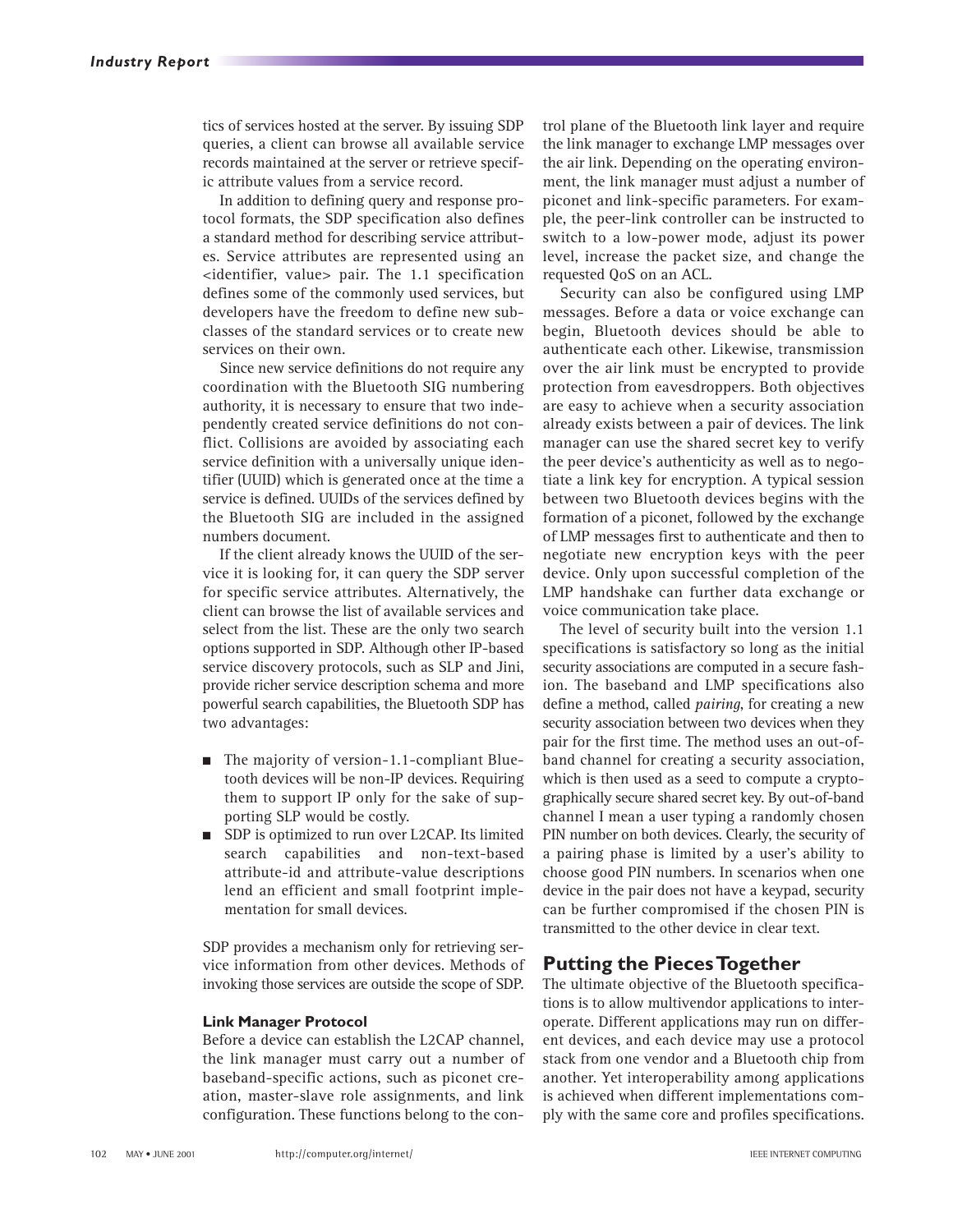tics of services hosted at the server. By issuing SDP queries, a client can browse all available service records maintained at the server or retrieve specific attribute values from a service record.

In addition to defining query and response protocol formats, the SDP specification also defines a standard method for describing service attributes. Service attributes are represented using an <identifier, value> pair. The 1.1 specification defines some of the commonly used services, but developers have the freedom to define new subclasses of the standard services or to create new services on their own.

Since new service definitions do not require any coordination with the Bluetooth SIG numbering authority, it is necessary to ensure that two independently created service definitions do not conflict. Collisions are avoided by associating each service definition with a universally unique identifier (UUID) which is generated once at the time a service is defined. UUIDs of the services defined by the Bluetooth SIG are included in the assigned numbers document.

If the client already knows the UUID of the service it is looking for, it can query the SDP server for specific service attributes. Alternatively, the client can browse the list of available services and select from the list. These are the only two search options supported in SDP. Although other IP-based service discovery protocols, such as SLP and Jini, provide richer service description schema and more powerful search capabilities, the Bluetooth SDP has two advantages:

- The majority of version-1.1-compliant Bluetooth devices will be non-IP devices. Requiring them to support IP only for the sake of supporting SLP would be costly.
- SDP is optimized to run over L2CAP. Its limited search capabilities and non-text-based attribute-id and attribute-value descriptions lend an efficient and small footprint implementation for small devices.

SDP provides a mechanism only for retrieving service information from other devices. Methods of invoking those services are outside the scope of SDP.

#### **Link Manager Protocol**

Before a device can establish the L2CAP channel, the link manager must carry out a number of baseband-specific actions, such as piconet creation, master-slave role assignments, and link configuration. These functions belong to the control plane of the Bluetooth link layer and require the link manager to exchange LMP messages over the air link. Depending on the operating environment, the link manager must adjust a number of piconet and link-specific parameters. For example, the peer-link controller can be instructed to switch to a low-power mode, adjust its power level, increase the packet size, and change the requested QoS on an ACL.

Security can also be configured using LMP messages. Before a data or voice exchange can begin, Bluetooth devices should be able to authenticate each other. Likewise, transmission over the air link must be encrypted to provide protection from eavesdroppers. Both objectives are easy to achieve when a security association already exists between a pair of devices. The link manager can use the shared secret key to verify the peer device's authenticity as well as to negotiate a link key for encryption. A typical session between two Bluetooth devices begins with the formation of a piconet, followed by the exchange of LMP messages first to authenticate and then to negotiate new encryption keys with the peer device. Only upon successful completion of the LMP handshake can further data exchange or voice communication take place.

The level of security built into the version 1.1 specifications is satisfactory so long as the initial security associations are computed in a secure fashion. The baseband and LMP specifications also define a method, called *pairing*, for creating a new security association between two devices when they pair for the first time. The method uses an out-ofband channel for creating a security association, which is then used as a seed to compute a cryptographically secure shared secret key. By out-of-band channel I mean a user typing a randomly chosen PIN number on both devices. Clearly, the security of a pairing phase is limited by a user's ability to choose good PIN numbers. In scenarios when one device in the pair does not have a keypad, security can be further compromised if the chosen PIN is transmitted to the other device in clear text.

## **Putting the Pieces Together**

The ultimate objective of the Bluetooth specifications is to allow multivendor applications to interoperate. Different applications may run on different devices, and each device may use a protocol stack from one vendor and a Bluetooth chip from another. Yet interoperability among applications is achieved when different implementations comply with the same core and profiles specifications.